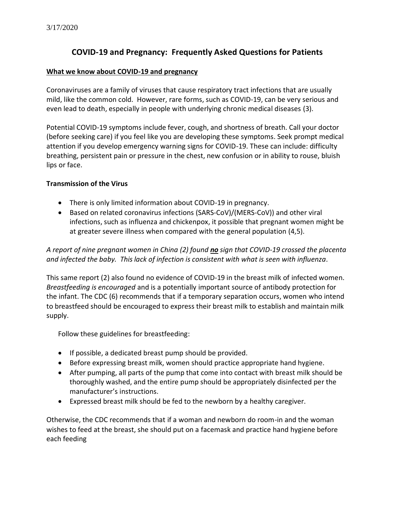# **COVID-19 and Pregnancy: Frequently Asked Questions for Patients**

## **What we know about COVID-19 and pregnancy**

Coronaviruses are a family of viruses that cause respiratory tract infections that are usually mild, like the common cold. However, rare forms, such as COVID-19, can be very serious and even lead to death, especially in people with underlying chronic medical diseases (3).

Potential COVID-19 symptoms include fever, cough, and shortness of breath. Call your doctor (before seeking care) if you feel like you are developing these symptoms. Seek prompt medical attention if you develop emergency warning signs for COVID-19. These can include: difficulty breathing, persistent pain or pressure in the chest, new confusion or in ability to rouse, bluish lips or face.

## **Transmission of the Virus**

- There is only limited information about COVID-19 in pregnancy.
- Based on related coronavirus infections (SARS-CoV)/(MERS-CoV)) and other viral infections, such as influenza and chickenpox, it possible that pregnant women might be at greater severe illness when compared with the general population (4,5).

*A report of nine pregnant women in China (2) found no sign that COVID-19 crossed the placenta and infected the baby. This lack of infection is consistent with what is seen with influenza.*

This same report (2) also found no evidence of COVID-19 in the breast milk of infected women. *Breastfeeding is encouraged* and is a potentially important source of antibody protection for the infant. The CDC (6) recommends that if a temporary separation occurs, women who intend to breastfeed should be encouraged to express their breast milk to establish and maintain milk supply.

Follow these guidelines for breastfeeding:

- If possible, a dedicated breast pump should be provided.
- Before expressing breast milk, women should practice appropriate hand hygiene.
- After pumping, all parts of the pump that come into contact with breast milk should be thoroughly washed, and the entire pump should be appropriately disinfected per the manufacturer's instructions.
- Expressed breast milk should be fed to the newborn by a healthy caregiver.

Otherwise, the CDC recommends that if a woman and newborn do room-in and the woman wishes to feed at the breast, she should put on a facemask and practice hand hygiene before each feeding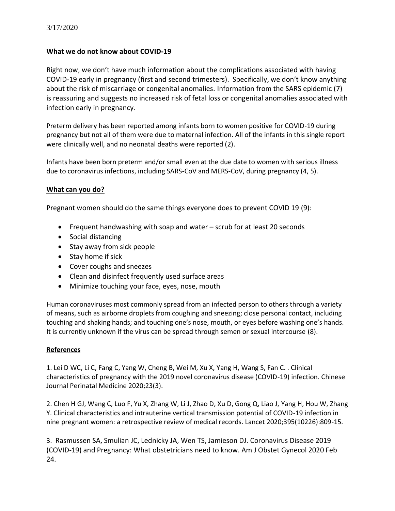## **What we do not know about COVID-19**

Right now, we don't have much information about the complications associated with having COVID-19 early in pregnancy (first and second trimesters). Specifically, we don't know anything about the risk of miscarriage or congenital anomalies. Information from the SARS epidemic (7) is reassuring and suggests no increased risk of fetal loss or congenital anomalies associated with infection early in pregnancy.

Preterm delivery has been reported among infants born to women positive for COVID-19 during pregnancy but not all of them were due to maternal infection. All of the infants in this single report were clinically well, and no neonatal deaths were reported (2).

Infants have been born preterm and/or small even at the due date to women with serious illness due to coronavirus infections, including SARS-CoV and MERS-CoV, during pregnancy (4, 5).

## **What can you do?**

Pregnant women should do the same things everyone does to prevent COVID 19 (9):

- Frequent handwashing with soap and water scrub for at least 20 seconds
- Social distancing
- Stay away from sick people
- Stay home if sick
- Cover coughs and sneezes
- Clean and disinfect frequently used surface areas
- Minimize touching your face, eyes, nose, mouth

Human coronaviruses most commonly spread from an infected person to others through a variety of means, such as airborne droplets from coughing and sneezing; close personal contact, including touching and shaking hands; and touching one's nose, mouth, or eyes before washing one's hands. It is currently unknown if the virus can be spread through semen or sexual intercourse (8).

## **References**

1. Lei D WC, Li C, Fang C, Yang W, Cheng B, Wei M, Xu X, Yang H, Wang S, Fan C. . Clinical characteristics of pregnancy with the 2019 novel coronavirus disease (COVID-19) infection. Chinese Journal Perinatal Medicine 2020;23(3).

2. Chen H GJ, Wang C, Luo F, Yu X, Zhang W, Li J, Zhao D, Xu D, Gong Q, Liao J, Yang H, Hou W, Zhang Y. Clinical characteristics and intrauterine vertical transmission potential of COVID-19 infection in nine pregnant women: a retrospective review of medical records. Lancet 2020;395(10226):809-15.

3. Rasmussen SA, Smulian JC, Lednicky JA, Wen TS, Jamieson DJ. Coronavirus Disease 2019 (COVID-19) and Pregnancy: What obstetricians need to know. Am J Obstet Gynecol 2020 Feb 24.